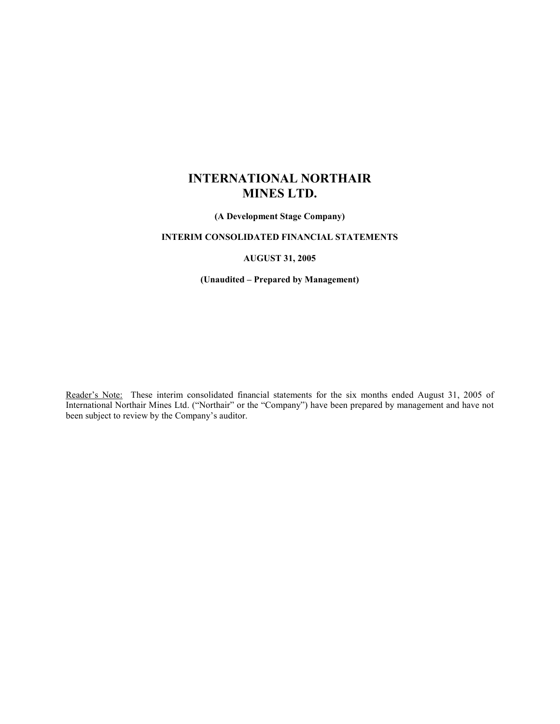# INTERNATIONAL NORTHAIR MINES LTD.

(A Development Stage Company)

## INTERIM CONSOLIDATED FINANCIAL STATEMENTS

## AUGUST 31, 2005

(Unaudited – Prepared by Management)

Reader's Note: These interim consolidated financial statements for the six months ended August 31, 2005 of International Northair Mines Ltd. ("Northair" or the "Company") have been prepared by management and have not been subject to review by the Company's auditor.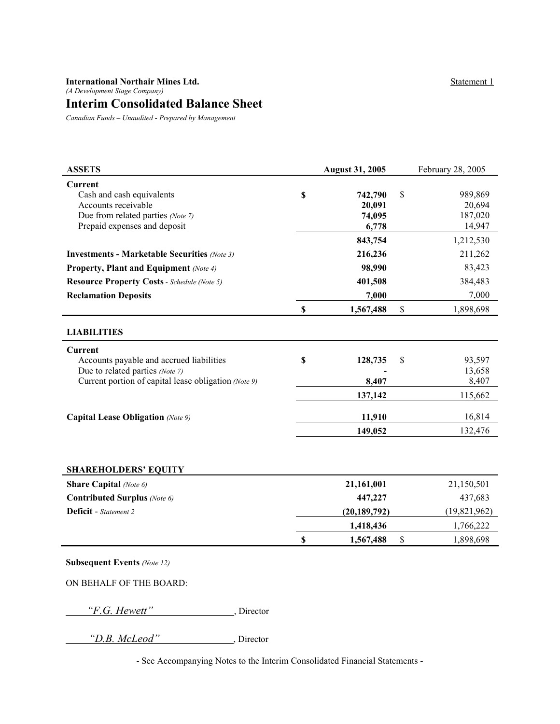## International Northair Mines Ltd. (A Development Stage Company) Interim Consolidated Balance Sheet

Canadian Funds – Unaudited - Prepared by Management

| <b>ASSETS</b>                                        |                           | <b>August 31, 2005</b> | February 28, 2005 |
|------------------------------------------------------|---------------------------|------------------------|-------------------|
| Current                                              | \$                        |                        | \$<br>989,869     |
| Cash and cash equivalents<br>Accounts receivable     |                           | 742,790<br>20,091      | 20,694            |
| Due from related parties (Note 7)                    |                           | 74,095                 | 187,020           |
| Prepaid expenses and deposit                         |                           | 6,778                  | 14,947            |
|                                                      |                           | 843,754                | 1,212,530         |
| <b>Investments - Marketable Securities (Note 3)</b>  |                           | 216,236                | 211,262           |
| <b>Property, Plant and Equipment</b> (Note 4)        |                           | 98,990                 | 83,423            |
| <b>Resource Property Costs - Schedule (Note 5)</b>   |                           | 401,508                | 384,483           |
| <b>Reclamation Deposits</b>                          |                           | 7,000                  | 7,000             |
|                                                      | $\mathbf S$               | 1,567,488              | \$<br>1,898,698   |
| <b>LIABILITIES</b>                                   |                           |                        |                   |
| <b>Current</b>                                       |                           |                        |                   |
| Accounts payable and accrued liabilities             | $\boldsymbol{\mathsf{S}}$ | 128,735                | \$<br>93,597      |
| Due to related parties (Note 7)                      |                           |                        | 13,658            |
| Current portion of capital lease obligation (Note 9) |                           | 8,407                  | 8,407             |
|                                                      |                           | 137,142                | 115,662           |
| <b>Capital Lease Obligation (Note 9)</b>             |                           | 11,910                 | 16,814            |
|                                                      |                           | 149,052                | 132,476           |
|                                                      |                           |                        |                   |
| <b>SHAREHOLDERS' EQUITY</b>                          |                           |                        |                   |
| <b>Share Capital</b> (Note 6)                        |                           | 21,161,001             | 21,150,501        |
| Contributed Surplus (Note 6)                         |                           | 447,227                | 437,683           |
| <b>Deficit</b> - Statement 2                         |                           | (20, 189, 792)         | (19, 821, 962)    |
|                                                      |                           | 1,418,436              | 1,766,222         |
|                                                      | $\boldsymbol{\mathsf{S}}$ | 1,567,488              | \$<br>1,898,698   |
| <b>Subsequent Events (Note 12)</b>                   |                           |                        |                   |
|                                                      |                           |                        |                   |
| ON BEHALF OF THE BOARD:                              |                           |                        |                   |

"F.G. Hewett", Director

"D.B. McLeod" , Director

- See Accompanying Notes to the Interim Consolidated Financial Statements -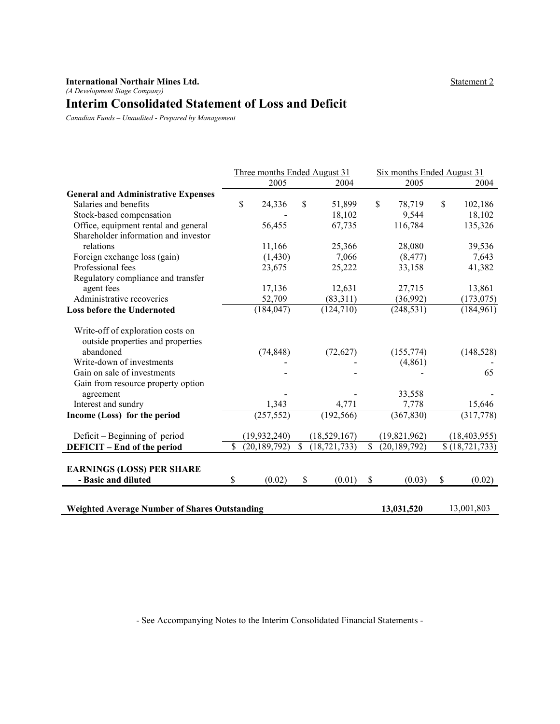## Statement 2

#### International Northair Mines Ltd. (A Development Stage Company)

# Interim Consolidated Statement of Loss and Deficit

Canadian Funds – Unaudited - Prepared by Management

|                                                      | Three months Ended August 31 |                |    |                | Six months Ended August 31 |                |    |                  |
|------------------------------------------------------|------------------------------|----------------|----|----------------|----------------------------|----------------|----|------------------|
|                                                      |                              | 2005           |    | 2004           |                            | 2005           |    | 2004             |
| <b>General and Administrative Expenses</b>           |                              |                |    |                |                            |                |    |                  |
| Salaries and benefits                                |                              | \$<br>24,336   | \$ | 51,899         |                            | \$<br>78,719   | \$ | 102,186          |
| Stock-based compensation                             |                              |                |    | 18,102         |                            | 9,544          |    | 18,102           |
| Office, equipment rental and general                 |                              | 56,455         |    | 67,735         |                            | 116,784        |    | 135,326          |
| Shareholder information and investor                 |                              |                |    |                |                            |                |    |                  |
| relations                                            |                              | 11,166         |    | 25,366         |                            | 28,080         |    | 39,536           |
| Foreign exchange loss (gain)                         |                              | (1, 430)       |    | 7,066          |                            | (8, 477)       |    | 7,643            |
| Professional fees                                    |                              | 23,675         |    | 25,222         |                            | 33,158         |    | 41,382           |
| Regulatory compliance and transfer                   |                              |                |    |                |                            |                |    |                  |
| agent fees                                           |                              | 17,136         |    | 12,631         |                            | 27,715         |    | 13,861           |
| Administrative recoveries                            |                              | 52,709         |    | (83,311)       |                            | (36,992)       |    | (173, 075)       |
| <b>Loss before the Undernoted</b>                    |                              | (184, 047)     |    | (124, 710)     |                            | (248, 531)     |    | (184, 961)       |
| Write-off of exploration costs on                    |                              |                |    |                |                            |                |    |                  |
| outside properties and properties                    |                              |                |    |                |                            |                |    |                  |
| abandoned                                            |                              | (74, 848)      |    | (72, 627)      |                            | (155, 774)     |    | (148, 528)       |
| Write-down of investments                            |                              |                |    |                |                            | (4, 861)       |    |                  |
| Gain on sale of investments                          |                              |                |    |                |                            |                |    | 65               |
| Gain from resource property option                   |                              |                |    |                |                            |                |    |                  |
| agreement                                            |                              |                |    |                |                            | 33,558         |    |                  |
| Interest and sundry                                  |                              | 1,343          |    | 4,771          |                            | 7,778          |    | 15,646           |
| Income (Loss) for the period                         |                              | (257, 552)     |    | (192, 566)     |                            | (367, 830)     |    | (317,778)        |
| Deficit – Beginning of period                        |                              | (19, 932, 240) |    | (18,529,167)   |                            | (19, 821, 962) |    | (18, 403, 955)   |
| <b>DEFICIT</b> – End of the period                   | \$                           | (20, 189, 792) | \$ | (18, 721, 733) | $\mathcal{S}$              | (20, 189, 792) |    | \$(18, 721, 733) |
| <b>EARNINGS (LOSS) PER SHARE</b>                     |                              |                |    |                |                            |                |    |                  |
| - Basic and diluted                                  | \$                           | (0.02)         | \$ | (0.01)         | \$                         | (0.03)         | \$ | (0.02)           |
|                                                      |                              |                |    |                |                            |                |    |                  |
| <b>Weighted Average Number of Shares Outstanding</b> |                              |                |    |                |                            | 13,031,520     |    | 13,001,803       |

- See Accompanying Notes to the Interim Consolidated Financial Statements -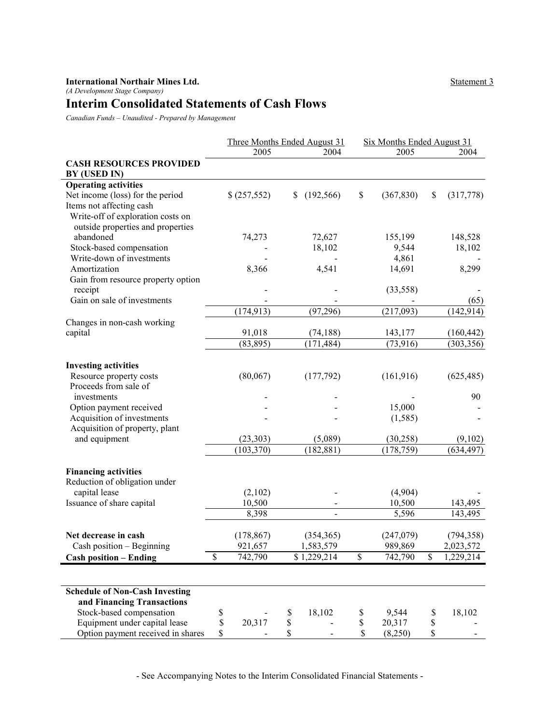## Interim Consolidated Statements of Cash Flows

Canadian Funds – Unaudited - Prepared by Management

|                                                                                                    | Three Months Ended August 31 |    |             | Six Months Ended August 31 |                 |  |
|----------------------------------------------------------------------------------------------------|------------------------------|----|-------------|----------------------------|-----------------|--|
|                                                                                                    | 2005                         |    | 2004        | 2005                       | 2004            |  |
| <b>CASH RESOURCES PROVIDED</b><br>BY (USED IN)                                                     |                              |    |             |                            |                 |  |
| <b>Operating activities</b>                                                                        |                              |    |             |                            |                 |  |
| Net income (loss) for the period                                                                   | \$(257,552)                  | S  | (192, 566)  | \$<br>(367, 830)           | \$<br>(317,778) |  |
| Items not affecting cash<br>Write-off of exploration costs on<br>outside properties and properties |                              |    |             |                            |                 |  |
| abandoned                                                                                          | 74,273                       |    | 72,627      | 155,199                    | 148,528         |  |
| Stock-based compensation                                                                           |                              |    | 18,102      | 9,544                      | 18,102          |  |
| Write-down of investments                                                                          |                              |    |             | 4,861                      |                 |  |
| Amortization                                                                                       | 8,366                        |    | 4,541       | 14,691                     | 8,299           |  |
| Gain from resource property option<br>receipt                                                      |                              |    |             | (33, 558)                  |                 |  |
| Gain on sale of investments                                                                        |                              |    |             |                            | (65)            |  |
|                                                                                                    | (174, 913)                   |    | (97, 296)   | (217,093)                  | (142, 914)      |  |
| Changes in non-cash working                                                                        |                              |    |             |                            |                 |  |
| capital                                                                                            | 91,018                       |    | (74, 188)   | 143,177                    | (160, 442)      |  |
|                                                                                                    | (83, 895)                    |    | (171, 484)  | (73, 916)                  | (303, 356)      |  |
|                                                                                                    |                              |    |             |                            |                 |  |
| <b>Investing activities</b><br>Resource property costs<br>Proceeds from sale of                    | (80,067)                     |    | (177,792)   | (161, 916)                 | (625, 485)      |  |
| investments                                                                                        |                              |    |             |                            | 90              |  |
| Option payment received                                                                            |                              |    |             | 15,000                     |                 |  |
| Acquisition of investments                                                                         |                              |    |             | (1, 585)                   |                 |  |
| Acquisition of property, plant                                                                     |                              |    |             |                            |                 |  |
| and equipment                                                                                      | (23, 303)                    |    | (5,089)     | (30, 258)                  | (9,102)         |  |
|                                                                                                    | (103, 370)                   |    | (182, 881)  | (178, 759)                 | (634, 497)      |  |
| <b>Financing activities</b>                                                                        |                              |    |             |                            |                 |  |
| Reduction of obligation under                                                                      |                              |    |             |                            |                 |  |
| capital lease                                                                                      | (2,102)                      |    |             | (4,904)                    |                 |  |
| Issuance of share capital                                                                          | 10,500                       |    |             | 10,500                     | 143,495         |  |
|                                                                                                    | 8,398                        |    |             | 5,596                      | 143,495         |  |
| Net decrease in cash<br>Cash position - Beginning                                                  | (178, 867)                   |    | (354, 365)  | (247,079)                  | (794, 358)      |  |
|                                                                                                    | 921,657                      |    | 1,583,579   | 989,869                    | 2,023,572       |  |
| <b>Cash position - Ending</b>                                                                      | \$<br>742,790                |    | \$1,229,214 | \$<br>742,790              | \$<br>1,229,214 |  |
| <b>Schedule of Non-Cash Investing</b>                                                              |                              |    |             |                            |                 |  |
| and Financing Transactions                                                                         |                              |    |             |                            |                 |  |
| Stock-based compensation                                                                           | \$                           | \$ | 18,102      | \$<br>9,544                | \$<br>18,102    |  |
| Equipment under capital lease                                                                      | \$<br>20,317                 | \$ |             | \$<br>20,317               | \$              |  |
| Option payment received in shares                                                                  | \$                           | \$ |             | \$<br>(8,250)              | \$              |  |

- See Accompanying Notes to the Interim Consolidated Financial Statements -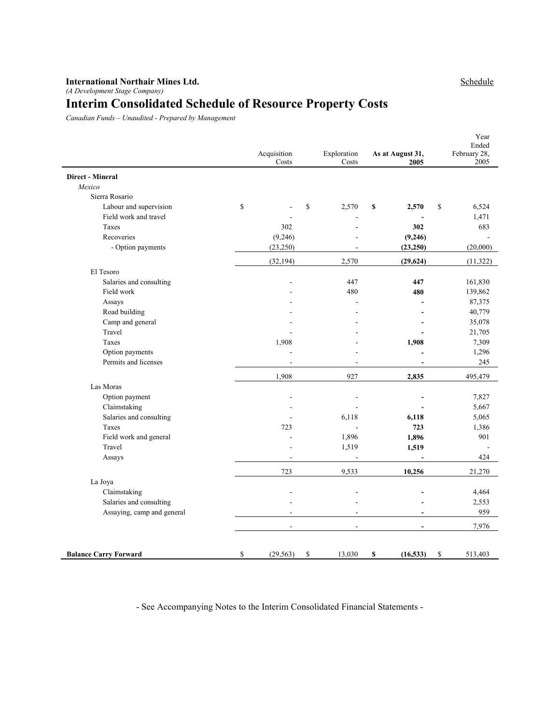#### International Northair Mines Ltd. (A Development Stage Company)

# Interim Consolidated Schedule of Resource Property Costs

Canadian Funds – Unaudited - Prepared by Management

|                              | Acquisition<br>Costs     | Exploration<br>Costs     | As at August 31,<br>2005 | Year<br>Ended<br>February 28,<br>2005 |
|------------------------------|--------------------------|--------------------------|--------------------------|---------------------------------------|
| <b>Direct - Mineral</b>      |                          |                          |                          |                                       |
| Mexico                       |                          |                          |                          |                                       |
| Sierra Rosario               |                          |                          |                          |                                       |
| Labour and supervision       | \$                       | \$<br>2,570              | \$<br>2,570              | \$<br>6,524                           |
| Field work and travel        |                          |                          |                          | 1,471                                 |
| Taxes                        | 302                      |                          | 302                      | 683                                   |
| Recoveries                   | (9,246)                  |                          | (9,246)                  |                                       |
| - Option payments            | (23, 250)                |                          | (23, 250)                | (20,000)                              |
|                              | (32, 194)                | 2,570                    | (29, 624)                | (11,322)                              |
| El Tesoro                    |                          |                          |                          |                                       |
| Salaries and consulting      | ÷.                       | 447                      | 447                      | 161,830                               |
| Field work                   |                          | 480                      | 480                      | 139,862                               |
| Assays                       |                          |                          |                          | 87,375                                |
| Road building                |                          |                          |                          | 40,779                                |
| Camp and general             |                          |                          |                          | 35,078                                |
| Travel                       |                          |                          |                          | 21,705                                |
| Taxes                        | 1,908                    |                          | 1,908                    | 7,309                                 |
| Option payments              |                          |                          |                          | 1,296                                 |
| Permits and licenses         | $\overline{a}$           | $\overline{a}$           | L.                       | 245                                   |
|                              | 1,908                    | 927                      | 2,835                    | 495,479                               |
| Las Moras                    |                          |                          |                          |                                       |
| Option payment               | $\overline{\phantom{a}}$ | $\overline{\phantom{a}}$ |                          | 7,827                                 |
| Claimstaking                 |                          |                          |                          | 5,667                                 |
| Salaries and consulting      |                          | 6,118                    | 6,118                    | 5,065                                 |
| Taxes                        | 723                      | ÷.                       | 723                      | 1,386                                 |
| Field work and general       |                          | 1,896                    | 1,896                    | 901                                   |
| Travel                       |                          | 1,519                    | 1,519                    |                                       |
| Assays                       |                          |                          |                          | 424                                   |
|                              | 723                      | 9,533                    | 10,256                   | 21,270                                |
| La Joya                      |                          |                          |                          |                                       |
| Claimstaking                 | ä,                       |                          |                          | 4,464                                 |
| Salaries and consulting      |                          |                          |                          | 2,553                                 |
| Assaying, camp and general   | ÷.                       |                          |                          | 959                                   |
|                              | $\overline{a}$           | ÷.                       |                          | 7,976                                 |
| <b>Balance Carry Forward</b> | \$<br>(29, 563)          | \$<br>13,030             | \$<br>(16, 533)          | \$<br>513,403                         |

- See Accompanying Notes to the Interim Consolidated Financial Statements -

## Schedule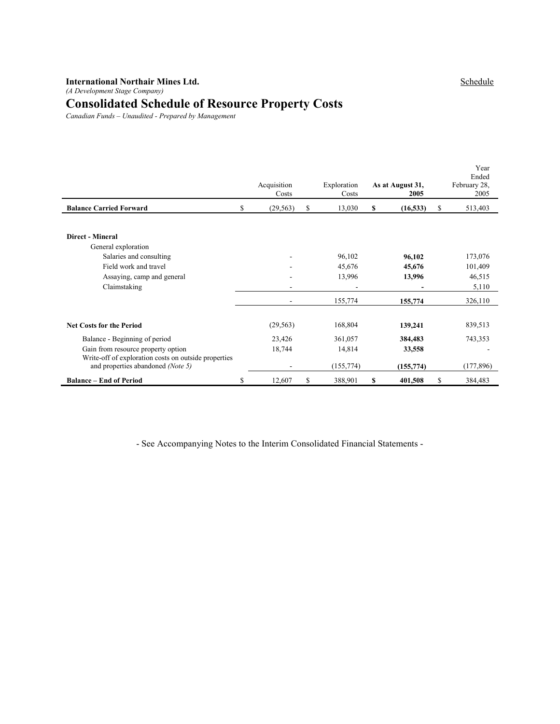#### International Northair Mines Ltd. (A Development Stage Company)

# Consolidated Schedule of Resource Property Costs

Canadian Funds – Unaudited - Prepared by Management

|                                                                                           | Acquisition<br>Costs | Exploration<br>Costs | As at August 31,<br>2005 |    | Year<br>Ended<br>February 28,<br>2005 |
|-------------------------------------------------------------------------------------------|----------------------|----------------------|--------------------------|----|---------------------------------------|
| <b>Balance Carried Forward</b>                                                            | \$<br>(29, 563)      | \$<br>13,030         | \$<br>(16, 533)          | S  | 513,403                               |
| <b>Direct - Mineral</b><br>General exploration                                            |                      |                      |                          |    |                                       |
| Salaries and consulting                                                                   |                      | 96,102               | 96,102                   |    | 173,076                               |
| Field work and travel                                                                     |                      | 45,676               | 45,676                   |    | 101,409                               |
| Assaying, camp and general                                                                |                      | 13,996               | 13,996                   |    | 46,515                                |
| Claimstaking                                                                              |                      |                      |                          |    | 5,110                                 |
|                                                                                           |                      | 155,774              | 155,774                  |    | 326,110                               |
| <b>Net Costs for the Period</b>                                                           | (29, 563)            | 168,804              | 139,241                  |    | 839,513                               |
| Balance - Beginning of period                                                             | 23,426               | 361,057              | 384,483                  |    | 743,353                               |
| Gain from resource property option                                                        | 18,744               | 14,814               | 33,558                   |    |                                       |
| Write-off of exploration costs on outside properties<br>and properties abandoned (Note 5) |                      | (155, 774)           | (155, 774)               |    | (177, 896)                            |
| <b>Balance – End of Period</b>                                                            | \$<br>12,607         | \$<br>388,901        | \$<br>401,508            | \$ | 384,483                               |

- See Accompanying Notes to the Interim Consolidated Financial Statements -

Schedule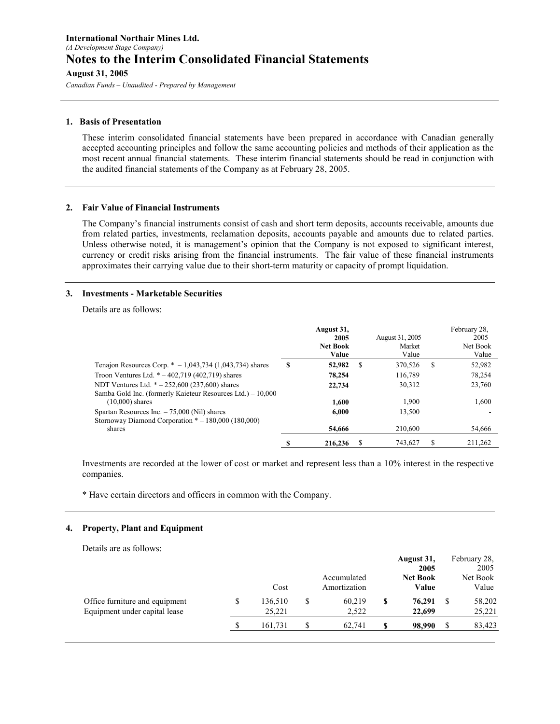Canadian Funds – Unaudited - Prepared by Management

#### 1. Basis of Presentation

These interim consolidated financial statements have been prepared in accordance with Canadian generally accepted accounting principles and follow the same accounting policies and methods of their application as the most recent annual financial statements. These interim financial statements should be read in conjunction with the audited financial statements of the Company as at February 28, 2005.

#### 2. Fair Value of Financial Instruments

The Company's financial instruments consist of cash and short term deposits, accounts receivable, amounts due from related parties, investments, reclamation deposits, accounts payable and amounts due to related parties. Unless otherwise noted, it is management's opinion that the Company is not exposed to significant interest, currency or credit risks arising from the financial instruments. The fair value of these financial instruments approximates their carrying value due to their short-term maturity or capacity of prompt liquidation.

#### 3. Investments - Marketable Securities

Details are as follows:

|                                                                                                                 |    | August 31,<br>2005<br><b>Net Book</b><br>Value |   | August 31, 2005<br>Market<br>Value |   | February 28.<br>2005<br>Net Book<br>Value |
|-----------------------------------------------------------------------------------------------------------------|----|------------------------------------------------|---|------------------------------------|---|-------------------------------------------|
| Tenajon Resources Corp. $* -1,043,734$ (1,043,734) shares                                                       | \$ | 52,982                                         | S | 370.526                            | S | 52,982                                    |
| Troon Ventures Ltd. $* -402,719$ (402,719) shares                                                               |    | 78,254                                         |   | 116,789                            |   | 78.254                                    |
| NDT Ventures Ltd. $* - 252,600 (237,600)$ shares<br>Samba Gold Inc. (formerly Kaieteur Resources Ltd.) – 10,000 |    | 22,734                                         |   | 30.312                             |   | 23,760                                    |
| $(10,000)$ shares                                                                                               |    | 1.600                                          |   | 1.900                              |   | 1,600                                     |
| Spartan Resources Inc. $-75,000$ (Nil) shares<br>Stornoway Diamond Corporation $* - 180,000$ (180,000)          |    | 6.000                                          |   | 13,500                             |   |                                           |
| shares                                                                                                          |    | 54,666                                         |   | 210.600                            |   | 54,666                                    |
|                                                                                                                 | S  | 216,236                                        |   | 743.627                            |   | 211.262                                   |

Investments are recorded at the lower of cost or market and represent less than a 10% interest in the respective companies.

\* Have certain directors and officers in common with the Company.

#### 4. Property, Plant and Equipment

Details are as follows:

|                                |               |              |   | August 31,<br>2005 |   | February 28,<br>2005 |
|--------------------------------|---------------|--------------|---|--------------------|---|----------------------|
|                                |               | Accumulated  |   | <b>Net Book</b>    |   | Net Book             |
|                                | Cost          | Amortization |   | Value              |   | Value                |
| Office furniture and equipment | \$<br>136,510 | 60,219       | S | 76,291             |   | 58,202               |
| Equipment under capital lease  | 25.221        | 2,522        |   | 22,699             |   | 25,221               |
|                                | 161,731       | 62,741       | S | 98,990             | S | 83,423               |
|                                |               |              |   |                    |   |                      |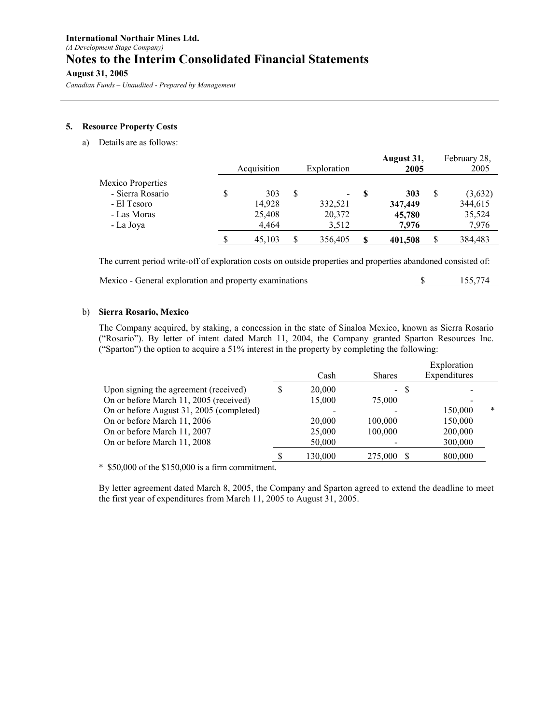Canadian Funds – Unaudited - Prepared by Management

#### 5. Resource Property Costs

a) Details are as follows:

|                                                                                  | Acquisition                            |    | Exploration                                            | August 31,<br>2005                | February 28,<br>2005                  |
|----------------------------------------------------------------------------------|----------------------------------------|----|--------------------------------------------------------|-----------------------------------|---------------------------------------|
| Mexico Properties<br>- Sierra Rosario<br>- El Tesoro<br>- Las Moras<br>- La Joya | \$<br>303<br>14,928<br>25,408<br>4.464 | S  | $\overline{\phantom{a}}$<br>332,521<br>20,372<br>3.512 | 303<br>347,449<br>45,780<br>7.976 | (3,632)<br>344,615<br>35,524<br>7.976 |
|                                                                                  | 45.103                                 | \$ | 356,405                                                | \$<br>401,508                     | 384,483                               |

The current period write-off of exploration costs on outside properties and properties abandoned consisted of:

Mexico - General exploration and property examinations  $\qquad$  \$ 155,774

## b) Sierra Rosario, Mexico

The Company acquired, by staking, a concession in the state of Sinaloa Mexico, known as Sierra Rosario ("Rosario"). By letter of intent dated March 11, 2004, the Company granted Sparton Resources Inc. ("Sparton") the option to acquire a 51% interest in the property by completing the following:

|                                          |   |         |               | Exploration  |        |
|------------------------------------------|---|---------|---------------|--------------|--------|
|                                          |   | Cash    | <b>Shares</b> | Expenditures |        |
| Upon signing the agreement (received)    | S | 20,000  | -8<br>$\sim$  |              |        |
| On or before March 11, 2005 (received)   |   | 15,000  | 75,000        |              |        |
| On or before August 31, 2005 (completed) |   |         |               | 150,000      | $\ast$ |
| On or before March 11, 2006              |   | 20,000  | 100,000       | 150,000      |        |
| On or before March 11, 2007              |   | 25,000  | 100,000       | 200,000      |        |
| On or before March 11, 2008              |   | 50,000  |               | 300,000      |        |
|                                          |   | 130,000 | 275,000       | 800,000      |        |
|                                          |   |         |               |              |        |

\* \$50,000 of the \$150,000 is a firm commitment.

By letter agreement dated March 8, 2005, the Company and Sparton agreed to extend the deadline to meet the first year of expenditures from March 11, 2005 to August 31, 2005.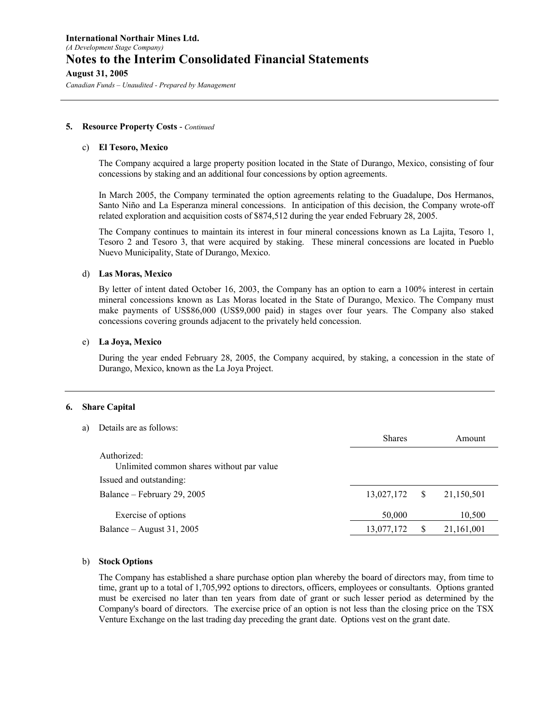Canadian Funds – Unaudited - Prepared by Management

#### **5.** Resource Property Costs - Continued

#### c) El Tesoro, Mexico

The Company acquired a large property position located in the State of Durango, Mexico, consisting of four concessions by staking and an additional four concessions by option agreements.

In March 2005, the Company terminated the option agreements relating to the Guadalupe, Dos Hermanos, Santo Niño and La Esperanza mineral concessions. In anticipation of this decision, the Company wrote-off related exploration and acquisition costs of \$874,512 during the year ended February 28, 2005.

The Company continues to maintain its interest in four mineral concessions known as La Lajita, Tesoro 1, Tesoro 2 and Tesoro 3, that were acquired by staking. These mineral concessions are located in Pueblo Nuevo Municipality, State of Durango, Mexico.

## d) Las Moras, Mexico

By letter of intent dated October 16, 2003, the Company has an option to earn a 100% interest in certain mineral concessions known as Las Moras located in the State of Durango, Mexico. The Company must make payments of US\$86,000 (US\$9,000 paid) in stages over four years. The Company also staked concessions covering grounds adjacent to the privately held concession.

#### e) La Joya, Mexico

During the year ended February 28, 2005, the Company acquired, by staking, a concession in the state of Durango, Mexico, known as the La Joya Project.

#### 6. Share Capital

a) Details are as follows:

|                                                          | <b>Shares</b> |   | Amount     |
|----------------------------------------------------------|---------------|---|------------|
| Authorized:<br>Unlimited common shares without par value |               |   |            |
| Issued and outstanding:                                  |               |   |            |
| Balance – February 29, 2005                              | 13,027,172    | S | 21,150,501 |
| Exercise of options                                      | 50,000        |   | 10,500     |
| Balance – August 31, 2005                                | 13,077,172    |   | 21,161,001 |

#### b) Stock Options

 The Company has established a share purchase option plan whereby the board of directors may, from time to time, grant up to a total of 1,705,992 options to directors, officers, employees or consultants. Options granted must be exercised no later than ten years from date of grant or such lesser period as determined by the Company's board of directors. The exercise price of an option is not less than the closing price on the TSX Venture Exchange on the last trading day preceding the grant date. Options vest on the grant date.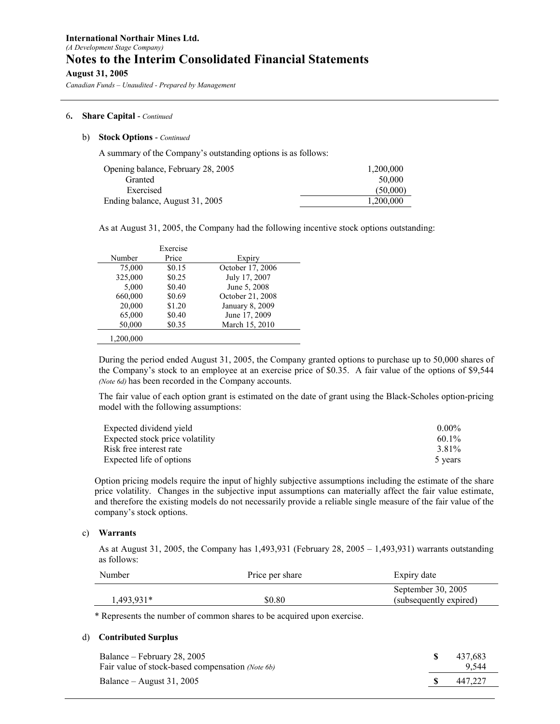Canadian Funds – Unaudited - Prepared by Management

## 6. Share Capital - Continued

#### b) Stock Options - Continued

A summary of the Company's outstanding options is as follows:

| Opening balance, February 28, 2005 | 1,200,000 |
|------------------------------------|-----------|
| Granted                            | 50,000    |
| Exercised                          | (50.000)  |
| Ending balance, August 31, 2005    | 1,200,000 |

As at August 31, 2005, the Company had the following incentive stock options outstanding:

|           | Exercise |                  |
|-----------|----------|------------------|
| Number    | Price    | Expiry           |
| 75,000    | \$0.15   | October 17, 2006 |
| 325,000   | \$0.25   | July 17, 2007    |
| 5,000     | \$0.40   | June 5, 2008     |
| 660,000   | \$0.69   | October 21, 2008 |
| 20,000    | \$1.20   | January 8, 2009  |
| 65,000    | \$0.40   | June 17, 2009    |
| 50,000    | \$0.35   | March 15, 2010   |
| 1.200.000 |          |                  |

During the period ended August 31, 2005, the Company granted options to purchase up to 50,000 shares of the Company's stock to an employee at an exercise price of \$0.35. A fair value of the options of \$9,544 (Note 6d) has been recorded in the Company accounts.

The fair value of each option grant is estimated on the date of grant using the Black-Scholes option-pricing model with the following assumptions:

| Expected dividend yield         | $0.00\%$ |
|---------------------------------|----------|
| Expected stock price volatility | $60.1\%$ |
| Risk free interest rate         | 3.81%    |
| Expected life of options        | 5 years  |

Option pricing models require the input of highly subjective assumptions including the estimate of the share price volatility. Changes in the subjective input assumptions can materially affect the fair value estimate, and therefore the existing models do not necessarily provide a reliable single measure of the fair value of the company's stock options.

#### c) Warrants

As at August 31, 2005, the Company has 1,493,931 (February 28, 2005 – 1,493,931) warrants outstanding as follows:

| Number       | Price per share | Expiry date            |  |  |
|--------------|-----------------|------------------------|--|--|
|              |                 | September 30, 2005     |  |  |
| $1,493,931*$ | \$0.80          | (subsequently expired) |  |  |

\* Represents the number of common shares to be acquired upon exercise.

#### d) Contributed Surplus

| Balance – February 28, 2005<br>Fair value of stock-based compensation <i>(Note 6b)</i> | 437.683<br>9.544 |
|----------------------------------------------------------------------------------------|------------------|
| Balance – August 31, 2005                                                              | 447.227          |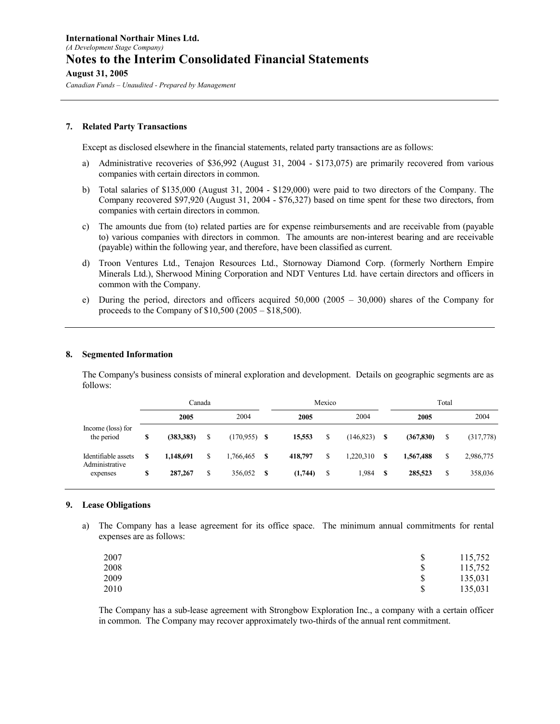Canadian Funds – Unaudited - Prepared by Management

#### 7. Related Party Transactions

Except as disclosed elsewhere in the financial statements, related party transactions are as follows:

- a) Administrative recoveries of \$36,992 (August 31, 2004 \$173,075) are primarily recovered from various companies with certain directors in common.
- b) Total salaries of \$135,000 (August 31, 2004 \$129,000) were paid to two directors of the Company. The Company recovered \$97,920 (August 31, 2004 - \$76,327) based on time spent for these two directors, from companies with certain directors in common.
- c) The amounts due from (to) related parties are for expense reimbursements and are receivable from (payable to) various companies with directors in common. The amounts are non-interest bearing and are receivable (payable) within the following year, and therefore, have been classified as current.
- d) Troon Ventures Ltd., Tenajon Resources Ltd., Stornoway Diamond Corp. (formerly Northern Empire Minerals Ltd.), Sherwood Mining Corporation and NDT Ventures Ltd. have certain directors and officers in common with the Company.
- e) During the period, directors and officers acquired 50,000 (2005 30,000) shares of the Company for proceeds to the Company of \$10,500 (2005 – \$18,500).

#### 8. Segmented Information

The Company's business consists of mineral exploration and development. Details on geographic segments are as follows:

|                                       |    | Canada     |    |           |    | Mexico  |    |            |    |            | Total |           |
|---------------------------------------|----|------------|----|-----------|----|---------|----|------------|----|------------|-------|-----------|
|                                       |    | 2005       |    | 2004      |    | 2005    |    | 2004       |    | 2005       |       | 2004      |
| Income (loss) for<br>the period       | \$ | (383, 383) | \$ | (170.955) | -S | 15,553  | \$ | (146, 823) | -S | (367, 830) | S     | (317,778) |
| Identifiable assets<br>Administrative | S  | 1.148.691  | \$ | 1,766,465 | S  | 418,797 | \$ | 1,220,310  | S  | 1,567,488  | \$    | 2,986,775 |
| expenses                              | \$ | 287,267    | \$ | 356,052   | S  | (1,744) | \$ | 1,984      | -S | 285,523    | \$    | 358,036   |

#### 9. Lease Obligations

a) The Company has a lease agreement for its office space. The minimum annual commitments for rental expenses are as follows:

| 2007 |    | 115,752 |
|------|----|---------|
| 2008 |    | 115,752 |
| 2009 | \$ | 135,031 |
| 2010 | S  | 135,031 |

The Company has a sub-lease agreement with Strongbow Exploration Inc., a company with a certain officer in common. The Company may recover approximately two-thirds of the annual rent commitment.